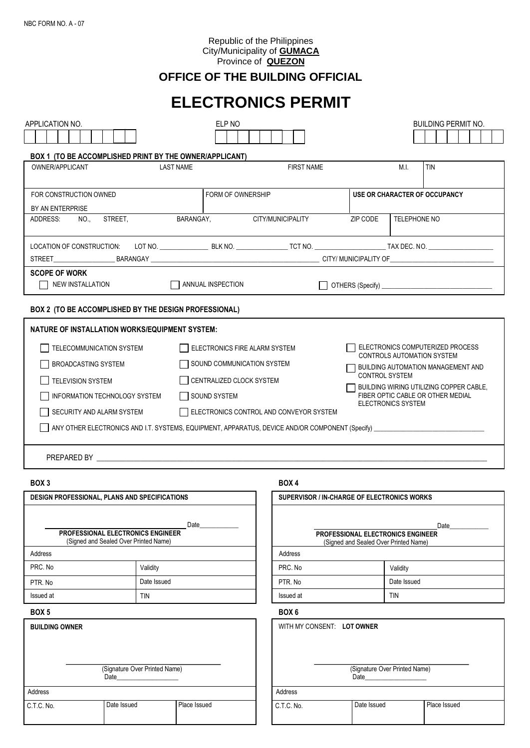#### Republic of the Philippines City/Municipality of **GUMACA** Province of **QUEZON**

# **OFFICE OF THE BUILDING OFFICIAL**

# **ELECTRONICS PERMIT**

| APPLICATION NO.                                                                                                                                                                                                                                                                                            |                                                                                                                             | ELP NO                      |                               |                                                                                                                                                                                                                                                   |                                                                                                                                                                                                                                                                                               |              | <b>BUILDING PERMIT NO.</b> |  |  |
|------------------------------------------------------------------------------------------------------------------------------------------------------------------------------------------------------------------------------------------------------------------------------------------------------------|-----------------------------------------------------------------------------------------------------------------------------|-----------------------------|-------------------------------|---------------------------------------------------------------------------------------------------------------------------------------------------------------------------------------------------------------------------------------------------|-----------------------------------------------------------------------------------------------------------------------------------------------------------------------------------------------------------------------------------------------------------------------------------------------|--------------|----------------------------|--|--|
|                                                                                                                                                                                                                                                                                                            | <b>BOX 1 (TO BE ACCOMPLISHED PRINT BY THE OWNER/APPLICANT)</b>                                                              |                             |                               |                                                                                                                                                                                                                                                   |                                                                                                                                                                                                                                                                                               |              |                            |  |  |
| OWNER/APPLICANT                                                                                                                                                                                                                                                                                            |                                                                                                                             | <b>LAST NAME</b>            |                               | <b>FIRST NAME</b>                                                                                                                                                                                                                                 |                                                                                                                                                                                                                                                                                               | M.I.         | <b>TIN</b>                 |  |  |
| FOR CONSTRUCTION OWNED                                                                                                                                                                                                                                                                                     |                                                                                                                             | FORM OF OWNERSHIP           | USE OR CHARACTER OF OCCUPANCY |                                                                                                                                                                                                                                                   |                                                                                                                                                                                                                                                                                               |              |                            |  |  |
| BY AN ENTERPRISE                                                                                                                                                                                                                                                                                           |                                                                                                                             |                             |                               |                                                                                                                                                                                                                                                   |                                                                                                                                                                                                                                                                                               |              |                            |  |  |
| ADDRESS:<br>NO.,                                                                                                                                                                                                                                                                                           | STREET.                                                                                                                     | BARANGAY, CITY/MUNICIPALITY |                               |                                                                                                                                                                                                                                                   | ZIP CODE                                                                                                                                                                                                                                                                                      | TELEPHONE NO |                            |  |  |
|                                                                                                                                                                                                                                                                                                            | LOCATION OF CONSTRUCTION:                                                                                                   |                             |                               |                                                                                                                                                                                                                                                   |                                                                                                                                                                                                                                                                                               |              |                            |  |  |
| <b>SCOPE OF WORK</b><br>NEW INSTALLATION                                                                                                                                                                                                                                                                   |                                                                                                                             | ANNUAL INSPECTION           |                               |                                                                                                                                                                                                                                                   |                                                                                                                                                                                                                                                                                               |              |                            |  |  |
|                                                                                                                                                                                                                                                                                                            | BOX 2 (TO BE ACCOMPLISHED BY THE DESIGN PROFESSIONAL)                                                                       |                             |                               |                                                                                                                                                                                                                                                   |                                                                                                                                                                                                                                                                                               |              |                            |  |  |
|                                                                                                                                                                                                                                                                                                            | NATURE OF INSTALLATION WORKS/EQUIPMENT SYSTEM:                                                                              |                             |                               |                                                                                                                                                                                                                                                   |                                                                                                                                                                                                                                                                                               |              |                            |  |  |
| TELECOMMUNICATION SYSTEM<br>ELECTRONICS FIRE ALARM SYSTEM<br>  SOUND COMMUNICATION SYSTEM<br><b>BROADCASTING SYSTEM</b><br>CENTRALIZED CLOCK SYSTEM<br><b>TELEVISION SYSTEM</b><br>  SOUND SYSTEM<br>INFORMATION TECHNOLOGY SYSTEM<br>ELECTRONICS CONTROL AND CONVEYOR SYSTEM<br>SECURITY AND ALARM SYSTEM |                                                                                                                             |                             |                               | ELECTRONICS COMPUTERIZED PROCESS<br>CONTROLS AUTOMATION SYSTEM<br><b>BUILDING AUTOMATION MANAGEMENT AND</b><br><b>CONTROL SYSTEM</b><br>BUILDING WIRING UTILIZING COPPER CABLE,<br>FIBER OPTIC CABLE OR OTHER MEDIAL<br><b>ELECTRONICS SYSTEM</b> |                                                                                                                                                                                                                                                                                               |              |                            |  |  |
|                                                                                                                                                                                                                                                                                                            |                                                                                                                             |                             |                               |                                                                                                                                                                                                                                                   |                                                                                                                                                                                                                                                                                               |              |                            |  |  |
| BOX <sub>3</sub>                                                                                                                                                                                                                                                                                           |                                                                                                                             |                             |                               | BOX 4                                                                                                                                                                                                                                             |                                                                                                                                                                                                                                                                                               |              |                            |  |  |
|                                                                                                                                                                                                                                                                                                            | DESIGN PROFESSIONAL, PLANS AND SPECIFICATIONS<br>PROFESSIONAL ELECTRONICS ENGINEER<br>(Signed and Sealed Over Printed Name) | Date                        |                               |                                                                                                                                                                                                                                                   | SUPERVISOR / IN-CHARGE OF ELECTRONICS WORKS<br>PROFESSIONAL ELECTRONICS ENGINEER<br>(Signed and Sealed Over Printed Name)                                                                                                                                                                     |              | Date                       |  |  |
| Address                                                                                                                                                                                                                                                                                                    |                                                                                                                             |                             |                               | Address                                                                                                                                                                                                                                           |                                                                                                                                                                                                                                                                                               |              |                            |  |  |
| PRC. No                                                                                                                                                                                                                                                                                                    | Validity                                                                                                                    |                             |                               | PRC. No                                                                                                                                                                                                                                           |                                                                                                                                                                                                                                                                                               | Validity     |                            |  |  |
| PTR. No                                                                                                                                                                                                                                                                                                    | Date Issued                                                                                                                 |                             |                               | PTR. No                                                                                                                                                                                                                                           |                                                                                                                                                                                                                                                                                               | Date Issued  |                            |  |  |
| Issued at                                                                                                                                                                                                                                                                                                  | <b>TIN</b>                                                                                                                  |                             |                               | Issued at                                                                                                                                                                                                                                         |                                                                                                                                                                                                                                                                                               | TIN          |                            |  |  |
| BOX <sub>5</sub>                                                                                                                                                                                                                                                                                           |                                                                                                                             |                             |                               | BOX <sub>6</sub>                                                                                                                                                                                                                                  |                                                                                                                                                                                                                                                                                               |              |                            |  |  |
| <b>BUILDING OWNER</b>                                                                                                                                                                                                                                                                                      | (Signature Over Printed Name)<br>Date                                                                                       |                             |                               |                                                                                                                                                                                                                                                   | WITH MY CONSENT: LOT OWNER<br>(Signature Over Printed Name)<br>Date and the state of the state of the state of the state of the state of the state of the state of the state of the state of the state of the state of the state of the state of the state of the state of the state of the s |              |                            |  |  |
| Address                                                                                                                                                                                                                                                                                                    |                                                                                                                             |                             |                               | Address                                                                                                                                                                                                                                           |                                                                                                                                                                                                                                                                                               |              |                            |  |  |
| C.T.C. No.                                                                                                                                                                                                                                                                                                 | Date Issued                                                                                                                 | Place Issued                |                               | C.T.C. No.                                                                                                                                                                                                                                        | Date Issued                                                                                                                                                                                                                                                                                   |              | Place Issued               |  |  |